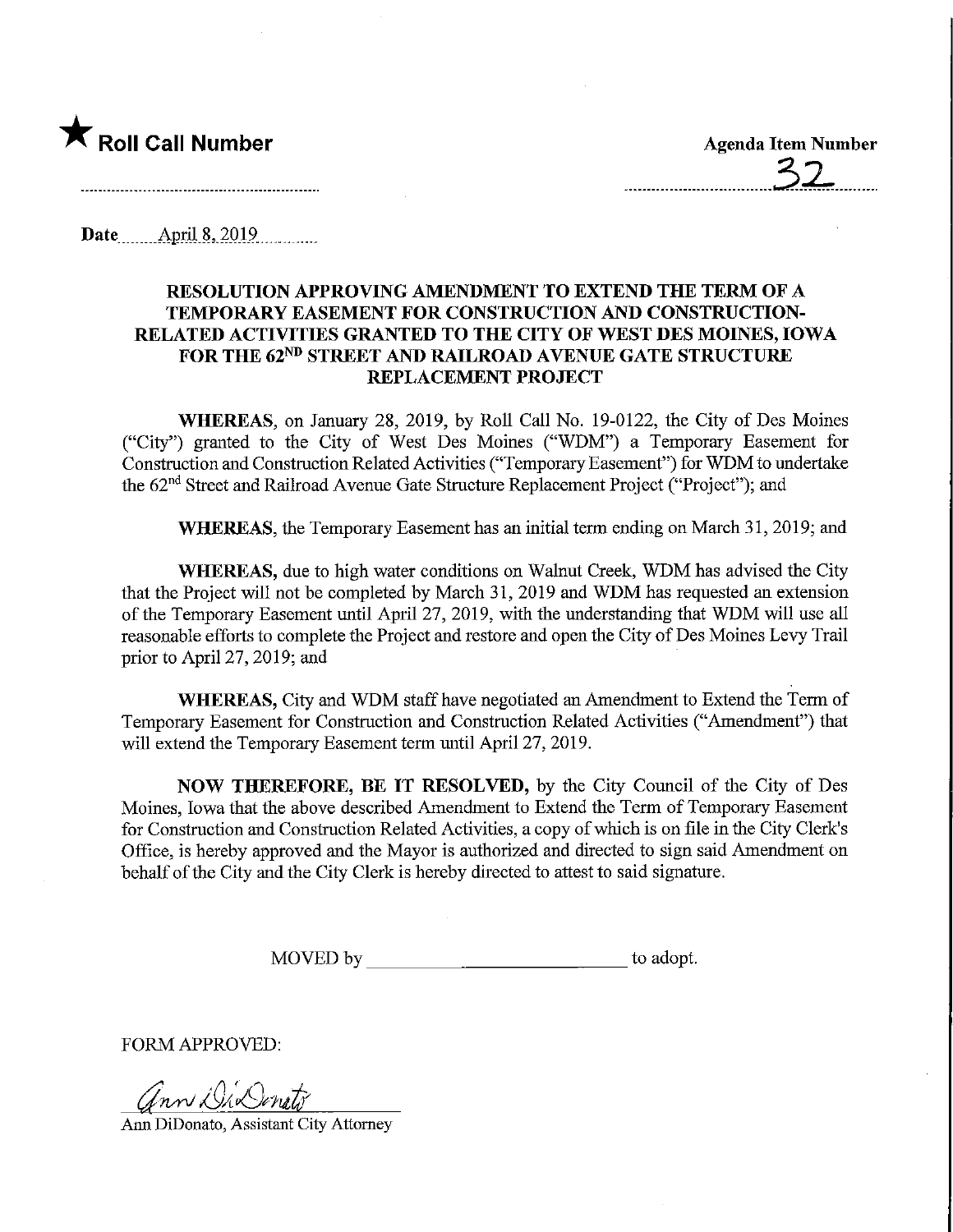

Date $\frac{\text{April } 8, 2019}{\text{April } 8, 2019}$ 

## RESOLUTION APPROVING AMENDMENT TO EXTEND THE TERM OF A TEMPORARY EASEMENT FOR CONSTRUCTION AND CONSTRUCTION-RELATED ACTIVITIES GRANTED TO THE CITY OF WEST DES MOINES, IOWA FOR THE 62<sup>ND</sup> STREET AND RAILROAD AVENUE GATE STRUCTURE REPLACEMENT PROJECT

WHEREAS, on January 28, 2019, by Roll Call No. 19-0122, the City of Des Moines ("City") granted to the City of West Des Moines ("WDM") a Temporary Easement for Construction and Construction Related Activities ("Temporary Easement") for WDM to undertake the 62<sup>nd</sup> Street and Railroad Avenue Gate Structure Replacement Project ("Project"); and

WHEREAS, the Temporary Easement has an initial term ending on March 31, 2019; and

WHEREAS, due to high water conditions on Walnut Creek, WDM has advised the City that the Project will not be completed by March 31, 2019 and WDM has requested an extension of the Temporary Easement until April 27, 2019, with the understanding that WDM will use all reasonable efforts to complete the Project and restore and open the City of Des Moines Levy Trail prior to April 27, 2019; and

WHEREAS, City and WDM staff have negotiated an Amendment to Extend the Term of Temporary Easement for Construction and Construction Related Activities ("Amendment") that will extend the Temporary Easement term until April 27, 2019.

NOW THEREFORE, BE IT RESOLVED, by the City Council of the City of Des Moines, Iowa that the above described Amendment to Extend the Term of Temporary Easement for Construction and Construction Related Activities, a copy of which is on file in the City Clerk's Office, is hereby approved and the Mayor is authorized and directed to sign said Amendment on behalf of the City and the City Clerk is hereby directed to attest to said signature.

MOVED by to adopt.

FORM APPROVED:

Ann DiDenato

Ami DiDonato, Assistant City Attorney